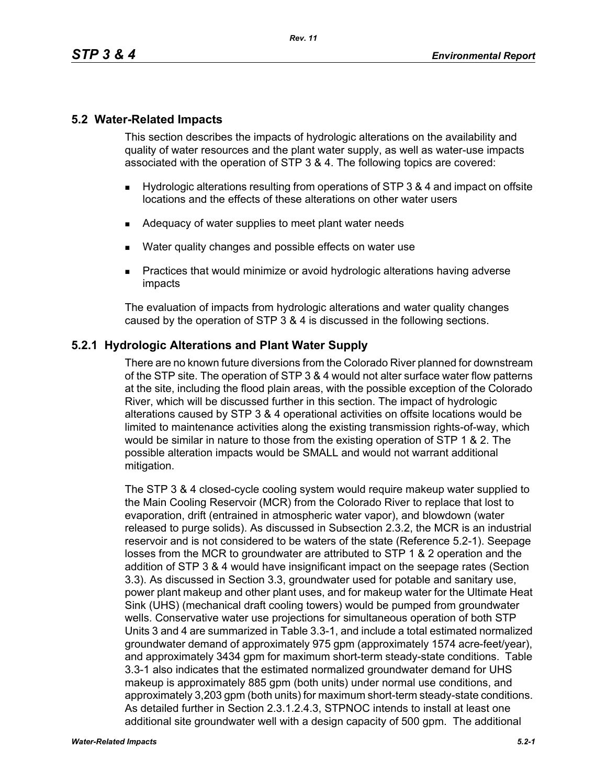# **5.2 Water-Related Impacts**

This section describes the impacts of hydrologic alterations on the availability and quality of water resources and the plant water supply, as well as water-use impacts associated with the operation of STP 3 & 4. The following topics are covered:

- Hydrologic alterations resulting from operations of STP 3 & 4 and impact on offsite locations and the effects of these alterations on other water users
- Adequacy of water supplies to meet plant water needs
- Water quality changes and possible effects on water use
- **Practices that would minimize or avoid hydrologic alterations having adverse** impacts

The evaluation of impacts from hydrologic alterations and water quality changes caused by the operation of STP 3 & 4 is discussed in the following sections.

# **5.2.1 Hydrologic Alterations and Plant Water Supply**

There are no known future diversions from the Colorado River planned for downstream of the STP site. The operation of STP 3 & 4 would not alter surface water flow patterns at the site, including the flood plain areas, with the possible exception of the Colorado River, which will be discussed further in this section. The impact of hydrologic alterations caused by STP 3 & 4 operational activities on offsite locations would be limited to maintenance activities along the existing transmission rights-of-way, which would be similar in nature to those from the existing operation of STP 1 & 2. The possible alteration impacts would be SMALL and would not warrant additional mitigation.

The STP 3 & 4 closed-cycle cooling system would require makeup water supplied to the Main Cooling Reservoir (MCR) from the Colorado River to replace that lost to evaporation, drift (entrained in atmospheric water vapor), and blowdown (water released to purge solids). As discussed in Subsection 2.3.2, the MCR is an industrial reservoir and is not considered to be waters of the state (Reference 5.2-1). Seepage losses from the MCR to groundwater are attributed to STP 1 & 2 operation and the addition of STP 3 & 4 would have insignificant impact on the seepage rates (Section 3.3). As discussed in Section 3.3, groundwater used for potable and sanitary use, power plant makeup and other plant uses, and for makeup water for the Ultimate Heat Sink (UHS) (mechanical draft cooling towers) would be pumped from groundwater wells. Conservative water use projections for simultaneous operation of both STP Units 3 and 4 are summarized in Table 3.3-1, and include a total estimated normalized groundwater demand of approximately 975 gpm (approximately 1574 acre-feet/year), and approximately 3434 gpm for maximum short-term steady-state conditions. Table 3.3-1 also indicates that the estimated normalized groundwater demand for UHS makeup is approximately 885 gpm (both units) under normal use conditions, and approximately 3,203 gpm (both units) for maximum short-term steady-state conditions. As detailed further in Section 2.3.1.2.4.3, STPNOC intends to install at least one additional site groundwater well with a design capacity of 500 gpm. The additional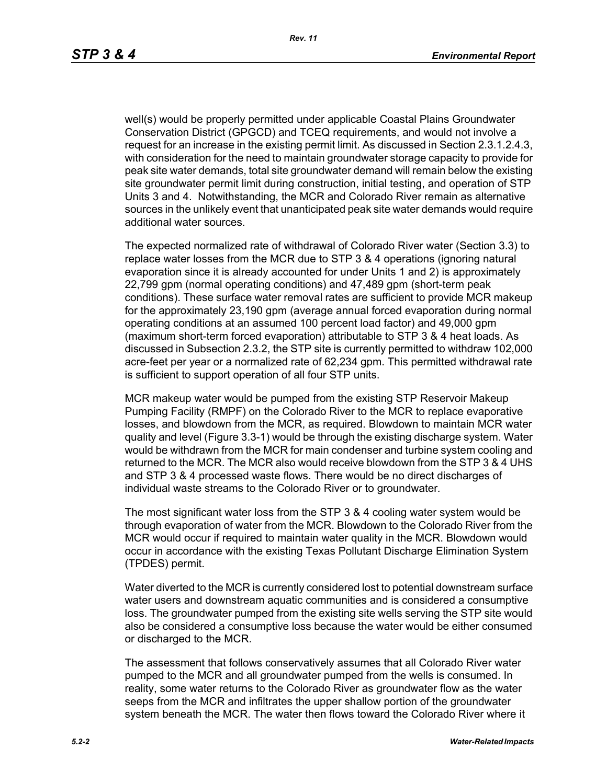well(s) would be properly permitted under applicable Coastal Plains Groundwater Conservation District (GPGCD) and TCEQ requirements, and would not involve a request for an increase in the existing permit limit. As discussed in Section 2.3.1.2.4.3, with consideration for the need to maintain groundwater storage capacity to provide for peak site water demands, total site groundwater demand will remain below the existing site groundwater permit limit during construction, initial testing, and operation of STP Units 3 and 4. Notwithstanding, the MCR and Colorado River remain as alternative sources in the unlikely event that unanticipated peak site water demands would require additional water sources.

The expected normalized rate of withdrawal of Colorado River water (Section 3.3) to replace water losses from the MCR due to STP 3 & 4 operations (ignoring natural evaporation since it is already accounted for under Units 1 and 2) is approximately 22,799 gpm (normal operating conditions) and 47,489 gpm (short-term peak conditions). These surface water removal rates are sufficient to provide MCR makeup for the approximately 23,190 gpm (average annual forced evaporation during normal operating conditions at an assumed 100 percent load factor) and 49,000 gpm (maximum short-term forced evaporation) attributable to STP 3 & 4 heat loads. As discussed in Subsection 2.3.2, the STP site is currently permitted to withdraw 102,000 acre-feet per year or a normalized rate of 62,234 gpm. This permitted withdrawal rate is sufficient to support operation of all four STP units.

MCR makeup water would be pumped from the existing STP Reservoir Makeup Pumping Facility (RMPF) on the Colorado River to the MCR to replace evaporative losses, and blowdown from the MCR, as required. Blowdown to maintain MCR water quality and level (Figure 3.3-1) would be through the existing discharge system. Water would be withdrawn from the MCR for main condenser and turbine system cooling and returned to the MCR. The MCR also would receive blowdown from the STP 3 & 4 UHS and STP 3 & 4 processed waste flows. There would be no direct discharges of individual waste streams to the Colorado River or to groundwater*.*

The most significant water loss from the STP 3 & 4 cooling water system would be through evaporation of water from the MCR. Blowdown to the Colorado River from the MCR would occur if required to maintain water quality in the MCR. Blowdown would occur in accordance with the existing Texas Pollutant Discharge Elimination System (TPDES) permit.

Water diverted to the MCR is currently considered lost to potential downstream surface water users and downstream aquatic communities and is considered a consumptive loss. The groundwater pumped from the existing site wells serving the STP site would also be considered a consumptive loss because the water would be either consumed or discharged to the MCR.

The assessment that follows conservatively assumes that all Colorado River water pumped to the MCR and all groundwater pumped from the wells is consumed. In reality, some water returns to the Colorado River as groundwater flow as the water seeps from the MCR and infiltrates the upper shallow portion of the groundwater system beneath the MCR. The water then flows toward the Colorado River where it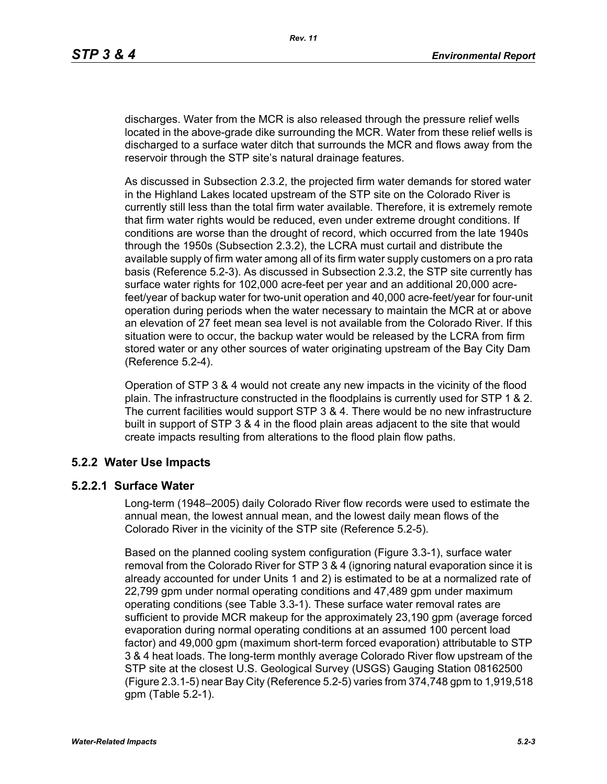discharges. Water from the MCR is also released through the pressure relief wells located in the above-grade dike surrounding the MCR. Water from these relief wells is discharged to a surface water ditch that surrounds the MCR and flows away from the reservoir through the STP site's natural drainage features.

As discussed in Subsection 2.3.2, the projected firm water demands for stored water in the Highland Lakes located upstream of the STP site on the Colorado River is currently still less than the total firm water available. Therefore, it is extremely remote that firm water rights would be reduced, even under extreme drought conditions. If conditions are worse than the drought of record, which occurred from the late 1940s through the 1950s (Subsection 2.3.2), the LCRA must curtail and distribute the available supply of firm water among all of its firm water supply customers on a pro rata basis (Reference 5.2-3). As discussed in Subsection 2.3.2, the STP site currently has surface water rights for 102,000 acre-feet per year and an additional 20,000 acrefeet/year of backup water for two-unit operation and 40,000 acre-feet/year for four-unit operation during periods when the water necessary to maintain the MCR at or above an elevation of 27 feet mean sea level is not available from the Colorado River. If this situation were to occur, the backup water would be released by the LCRA from firm stored water or any other sources of water originating upstream of the Bay City Dam (Reference 5.2-4).

Operation of STP 3 & 4 would not create any new impacts in the vicinity of the flood plain. The infrastructure constructed in the floodplains is currently used for STP 1 & 2. The current facilities would support STP 3 & 4. There would be no new infrastructure built in support of STP 3 & 4 in the flood plain areas adjacent to the site that would create impacts resulting from alterations to the flood plain flow paths.

## **5.2.2 Water Use Impacts**

#### **5.2.2.1 Surface Water**

Long-term (1948–2005) daily Colorado River flow records were used to estimate the annual mean, the lowest annual mean, and the lowest daily mean flows of the Colorado River in the vicinity of the STP site (Reference 5.2-5).

Based on the planned cooling system configuration (Figure 3.3-1), surface water removal from the Colorado River for STP 3 & 4 (ignoring natural evaporation since it is already accounted for under Units 1 and 2) is estimated to be at a normalized rate of 22,799 gpm under normal operating conditions and 47,489 gpm under maximum operating conditions (see Table 3.3-1). These surface water removal rates are sufficient to provide MCR makeup for the approximately 23,190 gpm (average forced evaporation during normal operating conditions at an assumed 100 percent load factor) and 49,000 gpm (maximum short-term forced evaporation) attributable to STP 3 & 4 heat loads. The long-term monthly average Colorado River flow upstream of the STP site at the closest U.S. Geological Survey (USGS) Gauging Station 08162500 (Figure 2.3.1-5) near Bay City (Reference 5.2-5) varies from 374,748 gpm to 1,919,518 gpm (Table 5.2-1).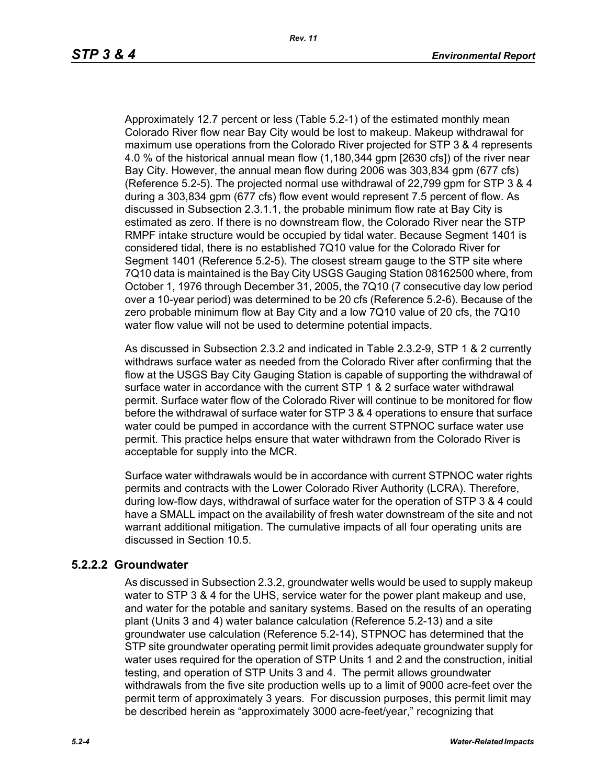Approximately 12.7 percent or less (Table 5.2-1) of the estimated monthly mean Colorado River flow near Bay City would be lost to makeup. Makeup withdrawal for maximum use operations from the Colorado River projected for STP 3 & 4 represents 4.0 % of the historical annual mean flow (1,180,344 gpm [2630 cfs]) of the river near Bay City. However, the annual mean flow during 2006 was 303,834 gpm (677 cfs) (Reference 5.2-5). The projected normal use withdrawal of 22,799 gpm for STP 3 & 4 during a 303,834 gpm (677 cfs) flow event would represent 7.5 percent of flow. As discussed in Subsection 2.3.1.1, the probable minimum flow rate at Bay City is estimated as zero. If there is no downstream flow, the Colorado River near the STP RMPF intake structure would be occupied by tidal water. Because Segment 1401 is considered tidal, there is no established 7Q10 value for the Colorado River for Segment 1401 (Reference 5.2-5). The closest stream gauge to the STP site where 7Q10 data is maintained is the Bay City USGS Gauging Station 08162500 where, from October 1, 1976 through December 31, 2005, the 7Q10 (7 consecutive day low period over a 10-year period) was determined to be 20 cfs (Reference 5.2-6). Because of the zero probable minimum flow at Bay City and a low 7Q10 value of 20 cfs, the 7Q10 water flow value will not be used to determine potential impacts.

As discussed in Subsection 2.3.2 and indicated in Table 2.3.2-9, STP 1 & 2 currently withdraws surface water as needed from the Colorado River after confirming that the flow at the USGS Bay City Gauging Station is capable of supporting the withdrawal of surface water in accordance with the current STP 1 & 2 surface water withdrawal permit. Surface water flow of the Colorado River will continue to be monitored for flow before the withdrawal of surface water for STP 3 & 4 operations to ensure that surface water could be pumped in accordance with the current STPNOC surface water use permit. This practice helps ensure that water withdrawn from the Colorado River is acceptable for supply into the MCR.

Surface water withdrawals would be in accordance with current STPNOC water rights permits and contracts with the Lower Colorado River Authority (LCRA). Therefore, during low-flow days, withdrawal of surface water for the operation of STP 3 & 4 could have a SMALL impact on the availability of fresh water downstream of the site and not warrant additional mitigation. The cumulative impacts of all four operating units are discussed in Section 10.5.

## **5.2.2.2 Groundwater**

As discussed in Subsection 2.3.2, groundwater wells would be used to supply makeup water to STP 3 & 4 for the UHS, service water for the power plant makeup and use. and water for the potable and sanitary systems. Based on the results of an operating plant (Units 3 and 4) water balance calculation (Reference 5.2-13) and a site groundwater use calculation (Reference 5.2-14), STPNOC has determined that the STP site groundwater operating permit limit provides adequate groundwater supply for water uses required for the operation of STP Units 1 and 2 and the construction, initial testing, and operation of STP Units 3 and 4. The permit allows groundwater withdrawals from the five site production wells up to a limit of 9000 acre-feet over the permit term of approximately 3 years. For discussion purposes, this permit limit may be described herein as "approximately 3000 acre-feet/year," recognizing that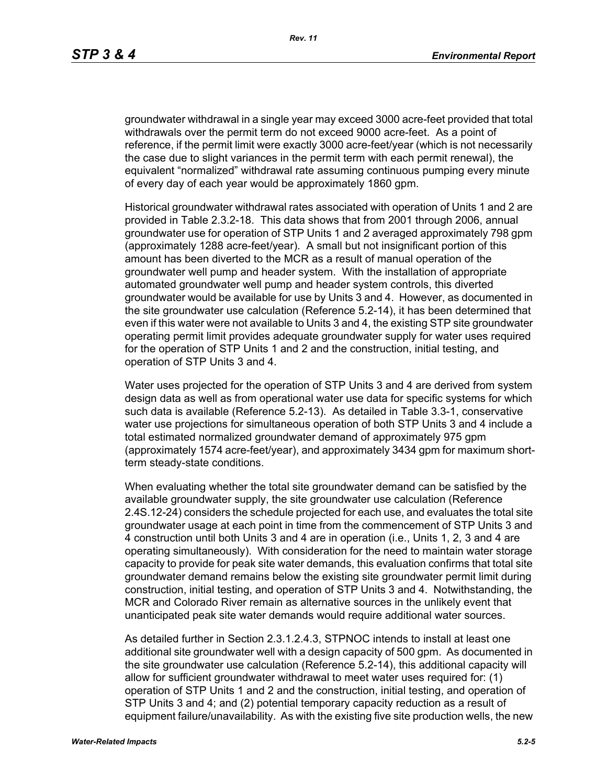groundwater withdrawal in a single year may exceed 3000 acre-feet provided that total withdrawals over the permit term do not exceed 9000 acre-feet. As a point of reference, if the permit limit were exactly 3000 acre-feet/year (which is not necessarily the case due to slight variances in the permit term with each permit renewal), the equivalent "normalized" withdrawal rate assuming continuous pumping every minute of every day of each year would be approximately 1860 gpm.

Historical groundwater withdrawal rates associated with operation of Units 1 and 2 are provided in Table 2.3.2-18. This data shows that from 2001 through 2006, annual groundwater use for operation of STP Units 1 and 2 averaged approximately 798 gpm (approximately 1288 acre-feet/year). A small but not insignificant portion of this amount has been diverted to the MCR as a result of manual operation of the groundwater well pump and header system. With the installation of appropriate automated groundwater well pump and header system controls, this diverted groundwater would be available for use by Units 3 and 4. However, as documented in the site groundwater use calculation (Reference 5.2-14), it has been determined that even if this water were not available to Units 3 and 4, the existing STP site groundwater operating permit limit provides adequate groundwater supply for water uses required for the operation of STP Units 1 and 2 and the construction, initial testing, and operation of STP Units 3 and 4.

Water uses projected for the operation of STP Units 3 and 4 are derived from system design data as well as from operational water use data for specific systems for which such data is available (Reference 5.2-13). As detailed in Table 3.3-1, conservative water use projections for simultaneous operation of both STP Units 3 and 4 include a total estimated normalized groundwater demand of approximately 975 gpm (approximately 1574 acre-feet/year), and approximately 3434 gpm for maximum shortterm steady-state conditions.

When evaluating whether the total site groundwater demand can be satisfied by the available groundwater supply, the site groundwater use calculation (Reference 2.4S.12-24) considers the schedule projected for each use, and evaluates the total site groundwater usage at each point in time from the commencement of STP Units 3 and 4 construction until both Units 3 and 4 are in operation (i.e., Units 1, 2, 3 and 4 are operating simultaneously). With consideration for the need to maintain water storage capacity to provide for peak site water demands, this evaluation confirms that total site groundwater demand remains below the existing site groundwater permit limit during construction, initial testing, and operation of STP Units 3 and 4. Notwithstanding, the MCR and Colorado River remain as alternative sources in the unlikely event that unanticipated peak site water demands would require additional water sources.

As detailed further in Section 2.3.1.2.4.3, STPNOC intends to install at least one additional site groundwater well with a design capacity of 500 gpm. As documented in the site groundwater use calculation (Reference 5.2-14), this additional capacity will allow for sufficient groundwater withdrawal to meet water uses required for: (1) operation of STP Units 1 and 2 and the construction, initial testing, and operation of STP Units 3 and 4; and (2) potential temporary capacity reduction as a result of equipment failure/unavailability. As with the existing five site production wells, the new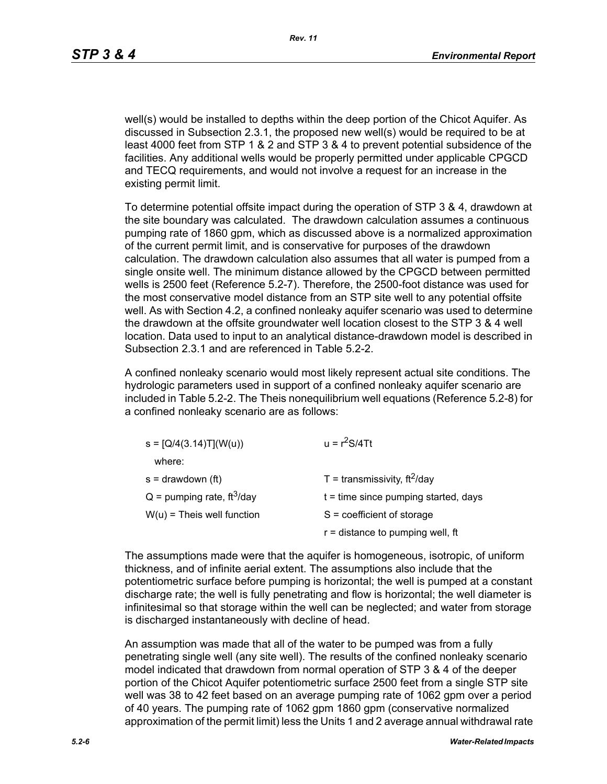well(s) would be installed to depths within the deep portion of the Chicot Aquifer. As discussed in Subsection 2.3.1, the proposed new well(s) would be required to be at least 4000 feet from STP 1 & 2 and STP 3 & 4 to prevent potential subsidence of the facilities. Any additional wells would be properly permitted under applicable CPGCD and TECQ requirements, and would not involve a request for an increase in the existing permit limit.

To determine potential offsite impact during the operation of STP 3 & 4, drawdown at the site boundary was calculated. The drawdown calculation assumes a continuous pumping rate of 1860 gpm, which as discussed above is a normalized approximation of the current permit limit, and is conservative for purposes of the drawdown calculation. The drawdown calculation also assumes that all water is pumped from a single onsite well. The minimum distance allowed by the CPGCD between permitted wells is 2500 feet (Reference 5.2-7). Therefore, the 2500-foot distance was used for the most conservative model distance from an STP site well to any potential offsite well. As with Section 4.2, a confined nonleaky aquifer scenario was used to determine the drawdown at the offsite groundwater well location closest to the STP 3 & 4 well location. Data used to input to an analytical distance-drawdown model is described in Subsection 2.3.1 and are referenced in Table 5.2-2.

A confined nonleaky scenario would most likely represent actual site conditions. The hydrologic parameters used in support of a confined nonleaky aquifer scenario are included in Table 5.2-2. The Theis nonequilibrium well equations (Reference 5.2-8) for a confined nonleaky scenario are as follows:

| $s = [Q/4(3.14)T](W(u))$                 | $u = r^2S/4Tt$                         |
|------------------------------------------|----------------------------------------|
| where:                                   |                                        |
| $s =$ drawdown (ft)                      | T = transmissivity, $ft^2$ /day        |
| $Q =$ pumping rate, ft <sup>3</sup> /day | $t =$ time since pumping started, days |
| $W(u)$ = Theis well function             | $S = coefficient of storage$           |
|                                          | $r =$ distance to pumping well, ft     |

The assumptions made were that the aquifer is homogeneous, isotropic, of uniform thickness, and of infinite aerial extent. The assumptions also include that the potentiometric surface before pumping is horizontal; the well is pumped at a constant discharge rate; the well is fully penetrating and flow is horizontal; the well diameter is infinitesimal so that storage within the well can be neglected; and water from storage is discharged instantaneously with decline of head.

An assumption was made that all of the water to be pumped was from a fully penetrating single well (any site well). The results of the confined nonleaky scenario model indicated that drawdown from normal operation of STP 3 & 4 of the deeper portion of the Chicot Aquifer potentiometric surface 2500 feet from a single STP site well was 38 to 42 feet based on an average pumping rate of 1062 gpm over a period of 40 years. The pumping rate of 1062 gpm 1860 gpm (conservative normalized approximation of the permit limit) less the Units 1 and 2 average annual withdrawal rate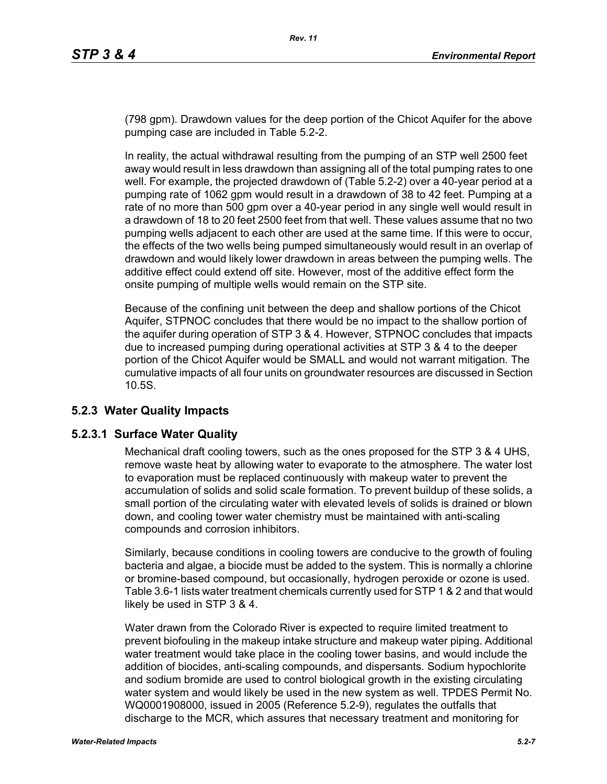(798 gpm). Drawdown values for the deep portion of the Chicot Aquifer for the above pumping case are included in Table 5.2-2.

In reality, the actual withdrawal resulting from the pumping of an STP well 2500 feet away would result in less drawdown than assigning all of the total pumping rates to one well. For example, the projected drawdown of (Table 5.2-2) over a 40-year period at a pumping rate of 1062 gpm would result in a drawdown of 38 to 42 feet. Pumping at a rate of no more than 500 gpm over a 40-year period in any single well would result in a drawdown of 18 to 20 feet 2500 feet from that well. These values assume that no two pumping wells adjacent to each other are used at the same time. If this were to occur, the effects of the two wells being pumped simultaneously would result in an overlap of drawdown and would likely lower drawdown in areas between the pumping wells. The additive effect could extend off site. However, most of the additive effect form the onsite pumping of multiple wells would remain on the STP site.

Because of the confining unit between the deep and shallow portions of the Chicot Aquifer, STPNOC concludes that there would be no impact to the shallow portion of the aquifer during operation of STP 3 & 4. However, STPNOC concludes that impacts due to increased pumping during operational activities at STP 3 & 4 to the deeper portion of the Chicot Aquifer would be SMALL and would not warrant mitigation. The cumulative impacts of all four units on groundwater resources are discussed in Section 10.5S.

# **5.2.3 Water Quality Impacts**

## **5.2.3.1 Surface Water Quality**

Mechanical draft cooling towers, such as the ones proposed for the STP 3 & 4 UHS, remove waste heat by allowing water to evaporate to the atmosphere. The water lost to evaporation must be replaced continuously with makeup water to prevent the accumulation of solids and solid scale formation. To prevent buildup of these solids, a small portion of the circulating water with elevated levels of solids is drained or blown down, and cooling tower water chemistry must be maintained with anti-scaling compounds and corrosion inhibitors.

Similarly, because conditions in cooling towers are conducive to the growth of fouling bacteria and algae, a biocide must be added to the system. This is normally a chlorine or bromine-based compound, but occasionally, hydrogen peroxide or ozone is used. Table 3.6-1 lists water treatment chemicals currently used for STP 1 & 2 and that would likely be used in STP 3 & 4.

Water drawn from the Colorado River is expected to require limited treatment to prevent biofouling in the makeup intake structure and makeup water piping. Additional water treatment would take place in the cooling tower basins, and would include the addition of biocides, anti-scaling compounds, and dispersants. Sodium hypochlorite and sodium bromide are used to control biological growth in the existing circulating water system and would likely be used in the new system as well. TPDES Permit No. WQ0001908000, issued in 2005 (Reference 5.2-9), regulates the outfalls that discharge to the MCR, which assures that necessary treatment and monitoring for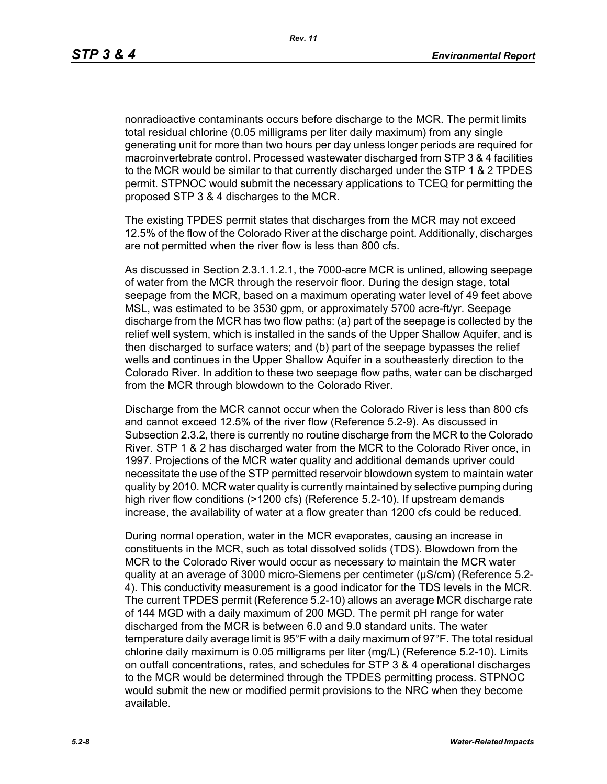nonradioactive contaminants occurs before discharge to the MCR. The permit limits total residual chlorine (0.05 milligrams per liter daily maximum) from any single generating unit for more than two hours per day unless longer periods are required for macroinvertebrate control. Processed wastewater discharged from STP 3 & 4 facilities to the MCR would be similar to that currently discharged under the STP 1 & 2 TPDES permit. STPNOC would submit the necessary applications to TCEQ for permitting the proposed STP 3 & 4 discharges to the MCR.

The existing TPDES permit states that discharges from the MCR may not exceed 12.5% of the flow of the Colorado River at the discharge point. Additionally, discharges are not permitted when the river flow is less than 800 cfs.

As discussed in Section 2.3.1.1.2.1, the 7000-acre MCR is unlined, allowing seepage of water from the MCR through the reservoir floor. During the design stage, total seepage from the MCR, based on a maximum operating water level of 49 feet above MSL, was estimated to be 3530 gpm, or approximately 5700 acre-ft/yr. Seepage discharge from the MCR has two flow paths: (a) part of the seepage is collected by the relief well system, which is installed in the sands of the Upper Shallow Aquifer, and is then discharged to surface waters; and (b) part of the seepage bypasses the relief wells and continues in the Upper Shallow Aquifer in a southeasterly direction to the Colorado River. In addition to these two seepage flow paths, water can be discharged from the MCR through blowdown to the Colorado River.

Discharge from the MCR cannot occur when the Colorado River is less than 800 cfs and cannot exceed 12.5% of the river flow (Reference 5.2-9). As discussed in Subsection 2.3.2, there is currently no routine discharge from the MCR to the Colorado River. STP 1 & 2 has discharged water from the MCR to the Colorado River once, in 1997. Projections of the MCR water quality and additional demands upriver could necessitate the use of the STP permitted reservoir blowdown system to maintain water quality by 2010. MCR water quality is currently maintained by selective pumping during high river flow conditions (>1200 cfs) (Reference 5.2-10). If upstream demands increase, the availability of water at a flow greater than 1200 cfs could be reduced.

During normal operation, water in the MCR evaporates, causing an increase in constituents in the MCR, such as total dissolved solids (TDS). Blowdown from the MCR to the Colorado River would occur as necessary to maintain the MCR water quality at an average of 3000 micro-Siemens per centimeter (µS/cm) (Reference 5.2- 4). This conductivity measurement is a good indicator for the TDS levels in the MCR. The current TPDES permit (Reference 5.2-10) allows an average MCR discharge rate of 144 MGD with a daily maximum of 200 MGD. The permit pH range for water discharged from the MCR is between 6.0 and 9.0 standard units. The water temperature daily average limit is 95°F with a daily maximum of 97°F. The total residual chlorine daily maximum is 0.05 milligrams per liter (mg/L) (Reference 5.2-10). Limits on outfall concentrations, rates, and schedules for STP 3 & 4 operational discharges to the MCR would be determined through the TPDES permitting process. STPNOC would submit the new or modified permit provisions to the NRC when they become available.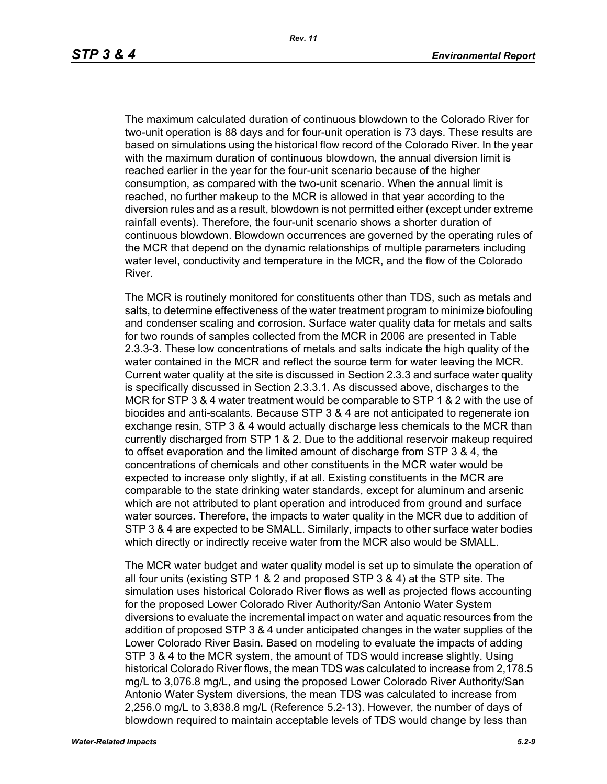The maximum calculated duration of continuous blowdown to the Colorado River for two-unit operation is 88 days and for four-unit operation is 73 days. These results are based on simulations using the historical flow record of the Colorado River. In the year with the maximum duration of continuous blowdown, the annual diversion limit is reached earlier in the year for the four-unit scenario because of the higher consumption, as compared with the two-unit scenario. When the annual limit is reached, no further makeup to the MCR is allowed in that year according to the diversion rules and as a result, blowdown is not permitted either (except under extreme rainfall events). Therefore, the four-unit scenario shows a shorter duration of continuous blowdown. Blowdown occurrences are governed by the operating rules of the MCR that depend on the dynamic relationships of multiple parameters including water level, conductivity and temperature in the MCR, and the flow of the Colorado River.

The MCR is routinely monitored for constituents other than TDS, such as metals and salts, to determine effectiveness of the water treatment program to minimize biofouling and condenser scaling and corrosion. Surface water quality data for metals and salts for two rounds of samples collected from the MCR in 2006 are presented in Table 2.3.3-3. These low concentrations of metals and salts indicate the high quality of the water contained in the MCR and reflect the source term for water leaving the MCR. Current water quality at the site is discussed in Section 2.3.3 and surface water quality is specifically discussed in Section 2.3.3.1. As discussed above, discharges to the MCR for STP 3 & 4 water treatment would be comparable to STP 1 & 2 with the use of biocides and anti-scalants. Because STP 3 & 4 are not anticipated to regenerate ion exchange resin, STP 3 & 4 would actually discharge less chemicals to the MCR than currently discharged from STP 1 & 2. Due to the additional reservoir makeup required to offset evaporation and the limited amount of discharge from STP 3 & 4, the concentrations of chemicals and other constituents in the MCR water would be expected to increase only slightly, if at all. Existing constituents in the MCR are comparable to the state drinking water standards, except for aluminum and arsenic which are not attributed to plant operation and introduced from ground and surface water sources. Therefore, the impacts to water quality in the MCR due to addition of STP 3 & 4 are expected to be SMALL. Similarly, impacts to other surface water bodies which directly or indirectly receive water from the MCR also would be SMALL.

The MCR water budget and water quality model is set up to simulate the operation of all four units (existing STP 1 & 2 and proposed STP 3 & 4) at the STP site. The simulation uses historical Colorado River flows as well as projected flows accounting for the proposed Lower Colorado River Authority/San Antonio Water System diversions to evaluate the incremental impact on water and aquatic resources from the addition of proposed STP 3 & 4 under anticipated changes in the water supplies of the Lower Colorado River Basin. Based on modeling to evaluate the impacts of adding STP 3 & 4 to the MCR system, the amount of TDS would increase slightly. Using historical Colorado River flows, the mean TDS was calculated to increase from 2,178.5 mg/L to 3,076.8 mg/L, and using the proposed Lower Colorado River Authority/San Antonio Water System diversions, the mean TDS was calculated to increase from 2,256.0 mg/L to 3,838.8 mg/L (Reference 5.2-13). However, the number of days of blowdown required to maintain acceptable levels of TDS would change by less than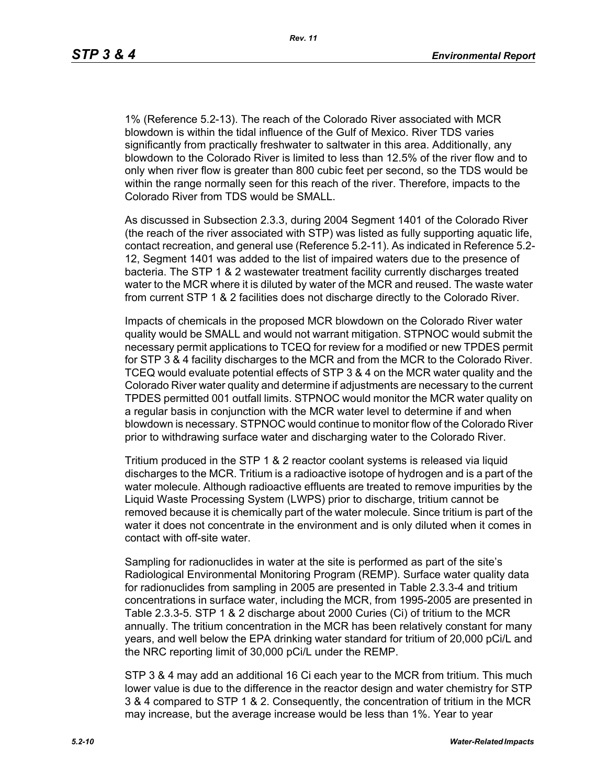*Rev. 11*

1% (Reference 5.2-13). The reach of the Colorado River associated with MCR blowdown is within the tidal influence of the Gulf of Mexico. River TDS varies significantly from practically freshwater to saltwater in this area. Additionally, any blowdown to the Colorado River is limited to less than 12.5% of the river flow and to only when river flow is greater than 800 cubic feet per second, so the TDS would be within the range normally seen for this reach of the river. Therefore, impacts to the Colorado River from TDS would be SMALL.

As discussed in Subsection 2.3.3, during 2004 Segment 1401 of the Colorado River (the reach of the river associated with STP) was listed as fully supporting aquatic life, contact recreation, and general use (Reference 5.2-11). As indicated in Reference 5.2- 12, Segment 1401 was added to the list of impaired waters due to the presence of bacteria. The STP 1 & 2 wastewater treatment facility currently discharges treated water to the MCR where it is diluted by water of the MCR and reused. The waste water from current STP 1 & 2 facilities does not discharge directly to the Colorado River.

Impacts of chemicals in the proposed MCR blowdown on the Colorado River water quality would be SMALL and would not warrant mitigation. STPNOC would submit the necessary permit applications to TCEQ for review for a modified or new TPDES permit for STP 3 & 4 facility discharges to the MCR and from the MCR to the Colorado River. TCEQ would evaluate potential effects of STP 3 & 4 on the MCR water quality and the Colorado River water quality and determine if adjustments are necessary to the current TPDES permitted 001 outfall limits. STPNOC would monitor the MCR water quality on a regular basis in conjunction with the MCR water level to determine if and when blowdown is necessary. STPNOC would continue to monitor flow of the Colorado River prior to withdrawing surface water and discharging water to the Colorado River.

Tritium produced in the STP 1 & 2 reactor coolant systems is released via liquid discharges to the MCR. Tritium is a radioactive isotope of hydrogen and is a part of the water molecule. Although radioactive effluents are treated to remove impurities by the Liquid Waste Processing System (LWPS) prior to discharge, tritium cannot be removed because it is chemically part of the water molecule. Since tritium is part of the water it does not concentrate in the environment and is only diluted when it comes in contact with off-site water.

Sampling for radionuclides in water at the site is performed as part of the site's Radiological Environmental Monitoring Program (REMP). Surface water quality data for radionuclides from sampling in 2005 are presented in Table 2.3.3-4 and tritium concentrations in surface water, including the MCR, from 1995-2005 are presented in Table 2.3.3-5. STP 1 & 2 discharge about 2000 Curies (Ci) of tritium to the MCR annually. The tritium concentration in the MCR has been relatively constant for many years, and well below the EPA drinking water standard for tritium of 20,000 pCi/L and the NRC reporting limit of 30,000 pCi/L under the REMP.

STP 3 & 4 may add an additional 16 Ci each year to the MCR from tritium. This much lower value is due to the difference in the reactor design and water chemistry for STP 3 & 4 compared to STP 1 & 2. Consequently, the concentration of tritium in the MCR may increase, but the average increase would be less than 1%. Year to year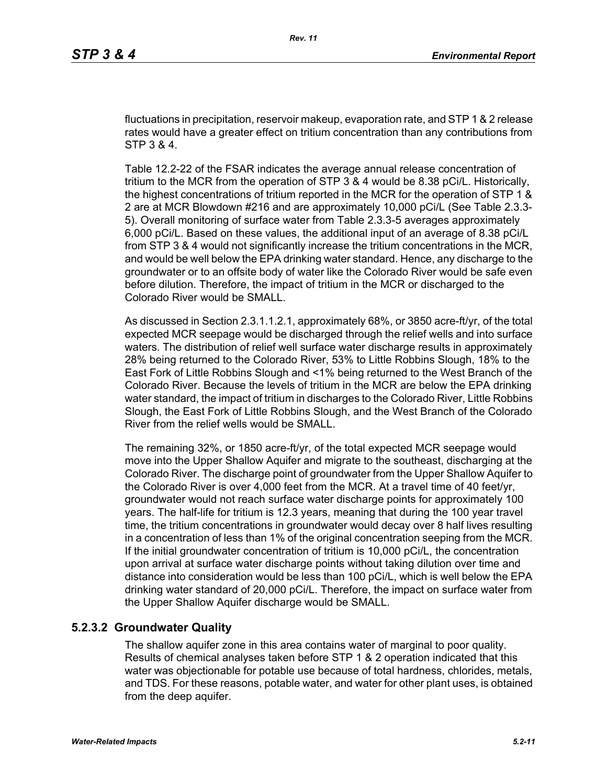fluctuations in precipitation, reservoir makeup, evaporation rate, and STP 1 & 2 release rates would have a greater effect on tritium concentration than any contributions from STP 3 & 4.

Table 12.2-22 of the FSAR indicates the average annual release concentration of tritium to the MCR from the operation of STP 3 & 4 would be 8.38 pCi/L. Historically, the highest concentrations of tritium reported in the MCR for the operation of STP 1 & 2 are at MCR Blowdown #216 and are approximately 10,000 pCi/L (See Table 2.3.3- 5). Overall monitoring of surface water from Table 2.3.3-5 averages approximately 6,000 pCi/L. Based on these values, the additional input of an average of 8.38 pCi/L from STP 3 & 4 would not significantly increase the tritium concentrations in the MCR, and would be well below the EPA drinking water standard. Hence, any discharge to the groundwater or to an offsite body of water like the Colorado River would be safe even before dilution. Therefore, the impact of tritium in the MCR or discharged to the Colorado River would be SMALL.

As discussed in Section 2.3.1.1.2.1, approximately 68%, or 3850 acre-ft/yr, of the total expected MCR seepage would be discharged through the relief wells and into surface waters. The distribution of relief well surface water discharge results in approximately 28% being returned to the Colorado River, 53% to Little Robbins Slough, 18% to the East Fork of Little Robbins Slough and <1% being returned to the West Branch of the Colorado River. Because the levels of tritium in the MCR are below the EPA drinking water standard, the impact of tritium in discharges to the Colorado River, Little Robbins Slough, the East Fork of Little Robbins Slough, and the West Branch of the Colorado River from the relief wells would be SMALL.

The remaining 32%, or 1850 acre-ft/yr, of the total expected MCR seepage would move into the Upper Shallow Aquifer and migrate to the southeast, discharging at the Colorado River. The discharge point of groundwater from the Upper Shallow Aquifer to the Colorado River is over 4,000 feet from the MCR. At a travel time of 40 feet/yr, groundwater would not reach surface water discharge points for approximately 100 years. The half-life for tritium is 12.3 years, meaning that during the 100 year travel time, the tritium concentrations in groundwater would decay over 8 half lives resulting in a concentration of less than 1% of the original concentration seeping from the MCR. If the initial groundwater concentration of tritium is 10,000 pCi/L, the concentration upon arrival at surface water discharge points without taking dilution over time and distance into consideration would be less than 100 pCi/L, which is well below the EPA drinking water standard of 20,000 pCi/L. Therefore, the impact on surface water from the Upper Shallow Aquifer discharge would be SMALL.

#### **5.2.3.2 Groundwater Quality**

The shallow aquifer zone in this area contains water of marginal to poor quality. Results of chemical analyses taken before STP 1 & 2 operation indicated that this water was objectionable for potable use because of total hardness, chlorides, metals, and TDS. For these reasons, potable water, and water for other plant uses, is obtained from the deep aquifer.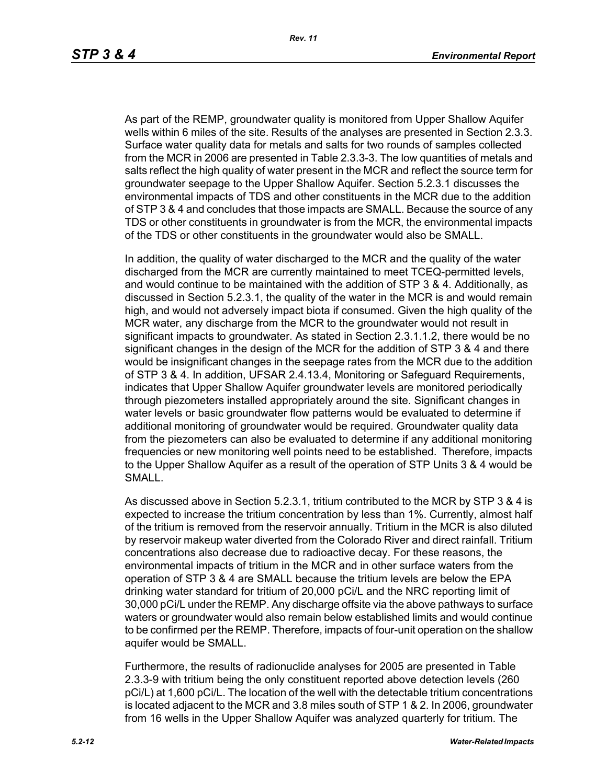As part of the REMP, groundwater quality is monitored from Upper Shallow Aquifer wells within 6 miles of the site. Results of the analyses are presented in Section 2.3.3. Surface water quality data for metals and salts for two rounds of samples collected from the MCR in 2006 are presented in Table 2.3.3-3. The low quantities of metals and salts reflect the high quality of water present in the MCR and reflect the source term for groundwater seepage to the Upper Shallow Aquifer. Section 5.2.3.1 discusses the environmental impacts of TDS and other constituents in the MCR due to the addition of STP 3 & 4 and concludes that those impacts are SMALL. Because the source of any TDS or other constituents in groundwater is from the MCR, the environmental impacts of the TDS or other constituents in the groundwater would also be SMALL.

In addition, the quality of water discharged to the MCR and the quality of the water discharged from the MCR are currently maintained to meet TCEQ-permitted levels, and would continue to be maintained with the addition of STP 3 & 4. Additionally, as discussed in Section 5.2.3.1, the quality of the water in the MCR is and would remain high, and would not adversely impact biota if consumed. Given the high quality of the MCR water, any discharge from the MCR to the groundwater would not result in significant impacts to groundwater. As stated in Section 2.3.1.1.2, there would be no significant changes in the design of the MCR for the addition of STP 3 & 4 and there would be insignificant changes in the seepage rates from the MCR due to the addition of STP 3 & 4. In addition, UFSAR 2.4.13.4, Monitoring or Safeguard Requirements, indicates that Upper Shallow Aquifer groundwater levels are monitored periodically through piezometers installed appropriately around the site. Significant changes in water levels or basic groundwater flow patterns would be evaluated to determine if additional monitoring of groundwater would be required. Groundwater quality data from the piezometers can also be evaluated to determine if any additional monitoring frequencies or new monitoring well points need to be established. Therefore, impacts to the Upper Shallow Aquifer as a result of the operation of STP Units 3 & 4 would be SMALL.

As discussed above in Section 5.2.3.1, tritium contributed to the MCR by STP 3 & 4 is expected to increase the tritium concentration by less than 1%. Currently, almost half of the tritium is removed from the reservoir annually. Tritium in the MCR is also diluted by reservoir makeup water diverted from the Colorado River and direct rainfall. Tritium concentrations also decrease due to radioactive decay. For these reasons, the environmental impacts of tritium in the MCR and in other surface waters from the operation of STP 3 & 4 are SMALL because the tritium levels are below the EPA drinking water standard for tritium of 20,000 pCi/L and the NRC reporting limit of 30,000 pCi/L under the REMP. Any discharge offsite via the above pathways to surface waters or groundwater would also remain below established limits and would continue to be confirmed per the REMP. Therefore, impacts of four-unit operation on the shallow aquifer would be SMALL.

Furthermore, the results of radionuclide analyses for 2005 are presented in Table 2.3.3-9 with tritium being the only constituent reported above detection levels (260 pCi/L) at 1,600 pCi/L. The location of the well with the detectable tritium concentrations is located adjacent to the MCR and 3.8 miles south of STP 1 & 2. In 2006, groundwater from 16 wells in the Upper Shallow Aquifer was analyzed quarterly for tritium. The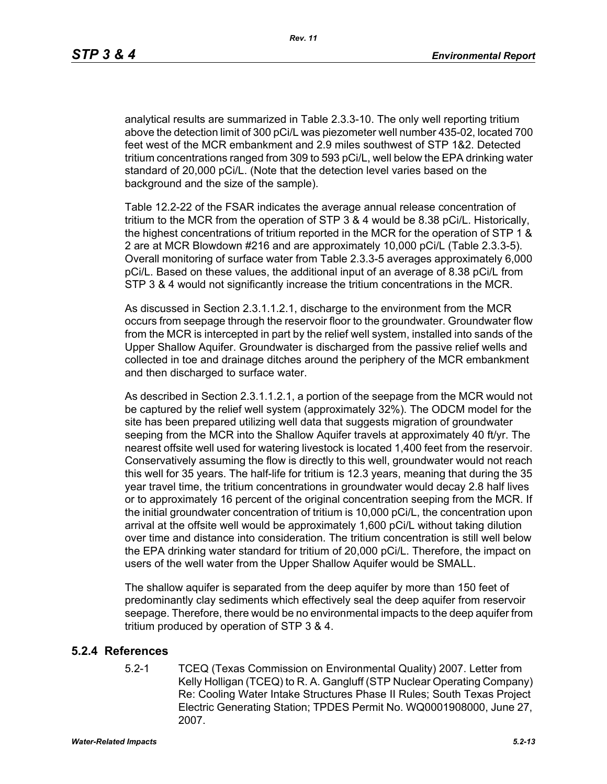analytical results are summarized in Table 2.3.3-10. The only well reporting tritium above the detection limit of 300 pCi/L was piezometer well number 435-02, located 700 feet west of the MCR embankment and 2.9 miles southwest of STP 1&2. Detected tritium concentrations ranged from 309 to 593 pCi/L, well below the EPA drinking water standard of 20,000 pCi/L. (Note that the detection level varies based on the background and the size of the sample).

Table 12.2-22 of the FSAR indicates the average annual release concentration of tritium to the MCR from the operation of STP 3 & 4 would be 8.38 pCi/L. Historically, the highest concentrations of tritium reported in the MCR for the operation of STP 1 & 2 are at MCR Blowdown #216 and are approximately 10,000 pCi/L (Table 2.3.3-5). Overall monitoring of surface water from Table 2.3.3-5 averages approximately 6,000 pCi/L. Based on these values, the additional input of an average of 8.38 pCi/L from STP 3 & 4 would not significantly increase the tritium concentrations in the MCR.

As discussed in Section 2.3.1.1.2.1, discharge to the environment from the MCR occurs from seepage through the reservoir floor to the groundwater. Groundwater flow from the MCR is intercepted in part by the relief well system, installed into sands of the Upper Shallow Aquifer. Groundwater is discharged from the passive relief wells and collected in toe and drainage ditches around the periphery of the MCR embankment and then discharged to surface water.

As described in Section 2.3.1.1.2.1, a portion of the seepage from the MCR would not be captured by the relief well system (approximately 32%). The ODCM model for the site has been prepared utilizing well data that suggests migration of groundwater seeping from the MCR into the Shallow Aquifer travels at approximately 40 ft/yr. The nearest offsite well used for watering livestock is located 1,400 feet from the reservoir. Conservatively assuming the flow is directly to this well, groundwater would not reach this well for 35 years. The half-life for tritium is 12.3 years, meaning that during the 35 year travel time, the tritium concentrations in groundwater would decay 2.8 half lives or to approximately 16 percent of the original concentration seeping from the MCR. If the initial groundwater concentration of tritium is 10,000 pCi/L, the concentration upon arrival at the offsite well would be approximately 1,600 pCi/L without taking dilution over time and distance into consideration. The tritium concentration is still well below the EPA drinking water standard for tritium of 20,000 pCi/L. Therefore, the impact on users of the well water from the Upper Shallow Aquifer would be SMALL.

The shallow aquifer is separated from the deep aquifer by more than 150 feet of predominantly clay sediments which effectively seal the deep aquifer from reservoir seepage. Therefore, there would be no environmental impacts to the deep aquifer from tritium produced by operation of STP 3 & 4.

## **5.2.4 References**

5.2-1 TCEQ (Texas Commission on Environmental Quality) 2007. Letter from Kelly Holligan (TCEQ) to R. A. Gangluff (STP Nuclear Operating Company) Re: Cooling Water Intake Structures Phase II Rules; South Texas Project Electric Generating Station; TPDES Permit No. WQ0001908000, June 27, 2007.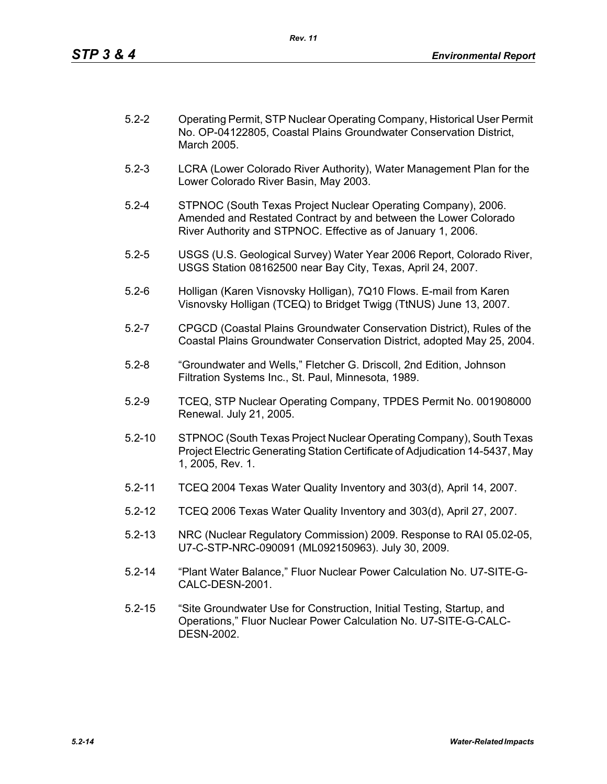| $5.2 - 2$ | Operating Permit, STP Nuclear Operating Company, Historical User Permit |
|-----------|-------------------------------------------------------------------------|
|           | No. OP-04122805, Coastal Plains Groundwater Conservation District,      |
|           | March 2005.                                                             |

- 5.2-3 LCRA (Lower Colorado River Authority), Water Management Plan for the Lower Colorado River Basin, May 2003.
- 5.2-4 STPNOC (South Texas Project Nuclear Operating Company), 2006. Amended and Restated Contract by and between the Lower Colorado River Authority and STPNOC. Effective as of January 1, 2006.
- 5.2-5 USGS (U.S. Geological Survey) Water Year 2006 Report, Colorado River, USGS Station 08162500 near Bay City, Texas, April 24, 2007.
- 5.2-6 Holligan (Karen Visnovsky Holligan), 7Q10 Flows. E-mail from Karen Visnovsky Holligan (TCEQ) to Bridget Twigg (TtNUS) June 13, 2007.
- 5.2-7 CPGCD (Coastal Plains Groundwater Conservation District), Rules of the Coastal Plains Groundwater Conservation District, adopted May 25, 2004.
- 5.2-8 "Groundwater and Wells," Fletcher G. Driscoll, 2nd Edition, Johnson Filtration Systems Inc., St. Paul, Minnesota, 1989.
- 5.2-9 TCEQ, STP Nuclear Operating Company, TPDES Permit No. 001908000 Renewal. July 21, 2005.
- 5.2-10 STPNOC (South Texas Project Nuclear Operating Company), South Texas Project Electric Generating Station Certificate of Adjudication 14-5437, May 1, 2005, Rev. 1.
- 5.2-11 TCEQ 2004 Texas Water Quality Inventory and 303(d), April 14, 2007.
- 5.2-12 TCEQ 2006 Texas Water Quality Inventory and 303(d), April 27, 2007.
- 5.2-13 NRC (Nuclear Regulatory Commission) 2009. Response to RAI 05.02-05, U7-C-STP-NRC-090091 (ML092150963). July 30, 2009.
- 5.2-14 "Plant Water Balance," Fluor Nuclear Power Calculation No. U7-SITE-G-CALC-DESN-2001.
- 5.2-15 "Site Groundwater Use for Construction, Initial Testing, Startup, and Operations," Fluor Nuclear Power Calculation No. U7-SITE-G-CALC-DESN-2002.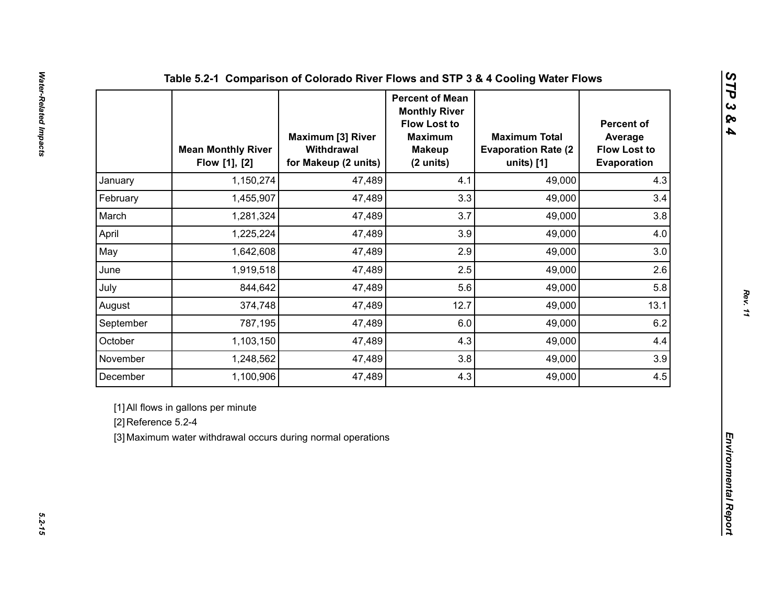|                     | <b>Mean Monthly River</b><br>Flow [1], [2]                                                          | <b>Maximum [3] River</b><br>Withdrawal<br>for Makeup (2 units) | <b>Percent of Mean</b><br><b>Monthly River</b><br><b>Flow Lost to</b><br><b>Maximum</b><br><b>Makeup</b><br>(2 units) | <b>Maximum Total</b><br><b>Evaporation Rate (2)</b><br>units) [1] | <b>Percent of</b><br>Average<br><b>Flow Lost to</b><br>Evaporation |  |
|---------------------|-----------------------------------------------------------------------------------------------------|----------------------------------------------------------------|-----------------------------------------------------------------------------------------------------------------------|-------------------------------------------------------------------|--------------------------------------------------------------------|--|
| January             | 1,150,274                                                                                           | 47,489                                                         | 4.1                                                                                                                   | 49,000                                                            | 4.3                                                                |  |
| February            | 1,455,907                                                                                           | 47,489                                                         | 3.3                                                                                                                   | 49,000                                                            | 3.4                                                                |  |
| March               | 1,281,324                                                                                           | 47,489                                                         | 3.7                                                                                                                   | 49,000                                                            | 3.8                                                                |  |
| April               | 1,225,224                                                                                           | 47,489                                                         | 3.9                                                                                                                   | 49,000                                                            | 4.0                                                                |  |
| May                 | 1,642,608                                                                                           | 47,489                                                         | 2.9                                                                                                                   | 49,000                                                            | 3.0                                                                |  |
| June                | 1,919,518                                                                                           | 47,489                                                         | 2.5                                                                                                                   | 49,000                                                            | 2.6                                                                |  |
| July                | 844,642                                                                                             | 47,489                                                         | 5.6                                                                                                                   | 49,000                                                            | 5.8                                                                |  |
| August              | 374,748                                                                                             | 47,489                                                         | 12.7                                                                                                                  | 49,000                                                            | 13.1                                                               |  |
| September           | 787,195                                                                                             | 47,489                                                         | 6.0                                                                                                                   | 49,000                                                            | 6.2                                                                |  |
| October             | 1,103,150                                                                                           | 47,489                                                         | 4.3                                                                                                                   | 49,000                                                            | 4.4                                                                |  |
| November            | 1,248,562                                                                                           | 47,489                                                         | 3.8                                                                                                                   | 49,000                                                            | 3.9                                                                |  |
| December            | 1,100,906                                                                                           | 47,489                                                         | 4.3                                                                                                                   | 49,000                                                            | 4.5                                                                |  |
| [2] Reference 5.2-4 | [1] All flows in gallons per minute<br>[3] Maximum water withdrawal occurs during normal operations |                                                                |                                                                                                                       |                                                                   |                                                                    |  |

*STP 3 & 4*